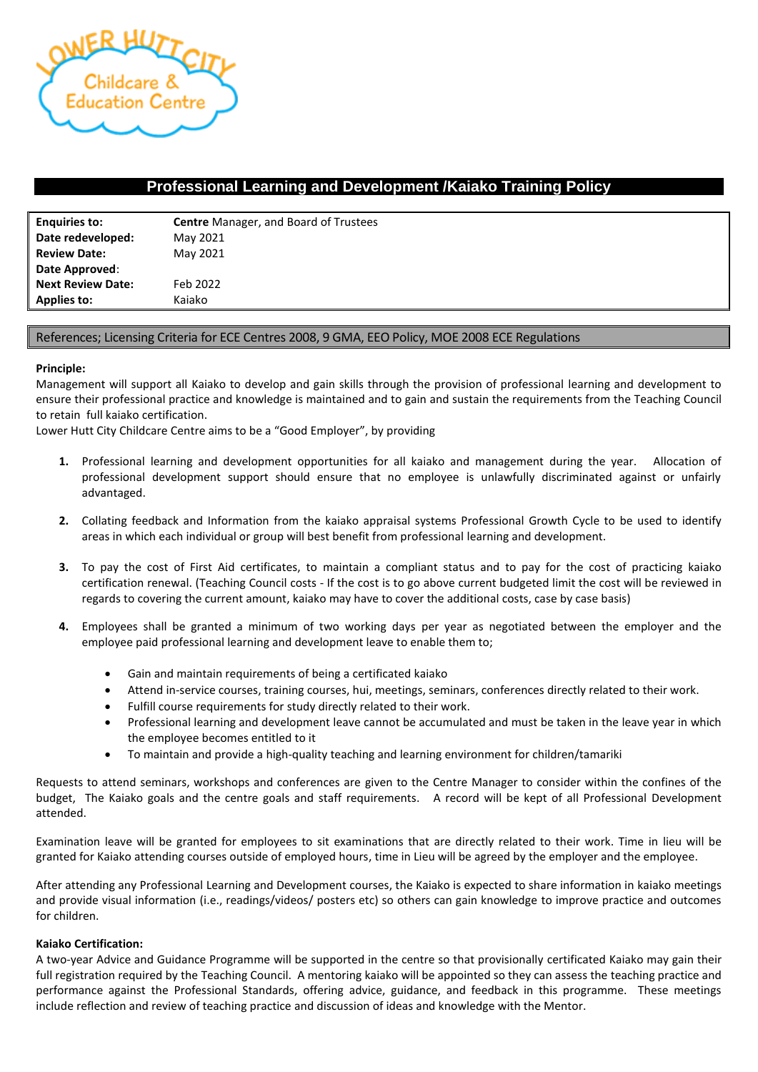

## **Professional Learning and Development /Kaiako Training Policy**

| <b>Enquiries to:</b>     | <b>Centre</b> Manager, and Board of Trustees |  |  |
|--------------------------|----------------------------------------------|--|--|
| Date redeveloped:        | May 2021                                     |  |  |
| <b>Review Date:</b>      | May 2021                                     |  |  |
| Date Approved:           |                                              |  |  |
| <b>Next Review Date:</b> | Feb 2022                                     |  |  |
| <b>Applies to:</b>       | Kaiako                                       |  |  |

## References; Licensing Criteria for ECE Centres 2008, 9 GMA, EEO Policy, MOE 2008 ECE Regulations

## **Principle:**

Management will support all Kaiako to develop and gain skills through the provision of professional learning and development to ensure their professional practice and knowledge is maintained and to gain and sustain the requirements from the Teaching Council to retain full kaiako certification.

Lower Hutt City Childcare Centre aims to be a "Good Employer", by providing

- **1.** Professional learning and development opportunities for all kaiako and management during the year. Allocation of professional development support should ensure that no employee is unlawfully discriminated against or unfairly advantaged.
- **2.** Collating feedback and Information from the kaiako appraisal systems Professional Growth Cycle to be used to identify areas in which each individual or group will best benefit from professional learning and development.
- **3.** To pay the cost of First Aid certificates, to maintain a compliant status and to pay for the cost of practicing kaiako certification renewal. (Teaching Council costs - If the cost is to go above current budgeted limit the cost will be reviewed in regards to covering the current amount, kaiako may have to cover the additional costs, case by case basis)
- **4.** Employees shall be granted a minimum of two working days per year as negotiated between the employer and the employee paid professional learning and development leave to enable them to;
	- Gain and maintain requirements of being a certificated kaiako
	- Attend in-service courses, training courses, hui, meetings, seminars, conferences directly related to their work.
	- Fulfill course requirements for study directly related to their work.
	- Professional learning and development leave cannot be accumulated and must be taken in the leave year in which the employee becomes entitled to it
	- To maintain and provide a high-quality teaching and learning environment for children/tamariki

Requests to attend seminars, workshops and conferences are given to the Centre Manager to consider within the confines of the budget, The Kaiako goals and the centre goals and staff requirements. A record will be kept of all Professional Development attended.

Examination leave will be granted for employees to sit examinations that are directly related to their work. Time in lieu will be granted for Kaiako attending courses outside of employed hours, time in Lieu will be agreed by the employer and the employee.

After attending any Professional Learning and Development courses, the Kaiako is expected to share information in kaiako meetings and provide visual information (i.e., readings/videos/ posters etc) so others can gain knowledge to improve practice and outcomes for children.

## **Kaiako Certification:**

A two-year Advice and Guidance Programme will be supported in the centre so that provisionally certificated Kaiako may gain their full registration required by the Teaching Council. A mentoring kaiako will be appointed so they can assess the teaching practice and performance against the Professional Standards, offering advice, guidance, and feedback in this programme. These meetings include reflection and review of teaching practice and discussion of ideas and knowledge with the Mentor.